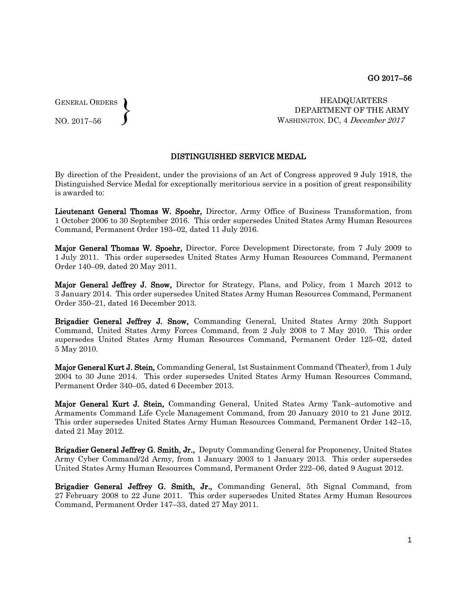GENERAL ORDERS  $\left\{ \right\}$ 

NO. 2017–56

 HEADQUARTERS DEPARTMENT OF THE ARMY WASHINGTON, DC, 4 December 2017

## DISTINGUISHED SERVICE MEDAL

By direction of the President, under the provisions of an Act of Congress approved 9 July 1918, the Distinguished Service Medal for exceptionally meritorious service in a position of great responsibility is awarded to:

Lieutenant General Thomas W. Spoehr, Director, Army Office of Business Transformation, from 1 October 2006 to 30 September 2016. This order supersedes United States Army Human Resources Command, Permanent Order 193–02, dated 11 July 2016.

Major General Thomas W. Spoehr, Director, Force Development Directorate, from 7 July 2009 to 1 July 2011. This order supersedes United States Army Human Resources Command, Permanent Order 140–09, dated 20 May 2011.

Major General Jeffrey J. Snow, Director for Strategy, Plans, and Policy, from 1 March 2012 to 3 January 2014. This order supersedes United States Army Human Resources Command, Permanent Order 350–21, dated 16 December 2013.

Brigadier General Jeffrey J. Snow, Commanding General, United States Army 20th Support Command, United States Army Forces Command, from 2 July 2008 to 7 May 2010. This order supersedes United States Army Human Resources Command, Permanent Order 125–02, dated 5 May 2010.

**Major General Kurt J. Stein, Commanding General, 1st Sustainment Command (Theater), from 1 July** 2004 to 30 June 2014. This order supersedes United States Army Human Resources Command, Permanent Order 340–05, dated 6 December 2013.

Major General Kurt J. Stein, Commanding General, United States Army Tank–automotive and Armaments Command Life Cycle Management Command, from 20 January 2010 to 21 June 2012. This order supersedes United States Army Human Resources Command, Permanent Order 142–15, dated 21 May 2012.

Brigadier General Jeffrey G. Smith, Jr., Deputy Commanding General for Proponency, United States Army Cyber Command/2d Army, from 1 January 2003 to 1 January 2013. This order supersedes United States Army Human Resources Command, Permanent Order 222–06, dated 9 August 2012.

Brigadier General Jeffrey G. Smith, Jr., Commanding General, 5th Signal Command, from 27 February 2008 to 22 June 2011. This order supersedes United States Army Human Resources Command, Permanent Order 147–33, dated 27 May 2011.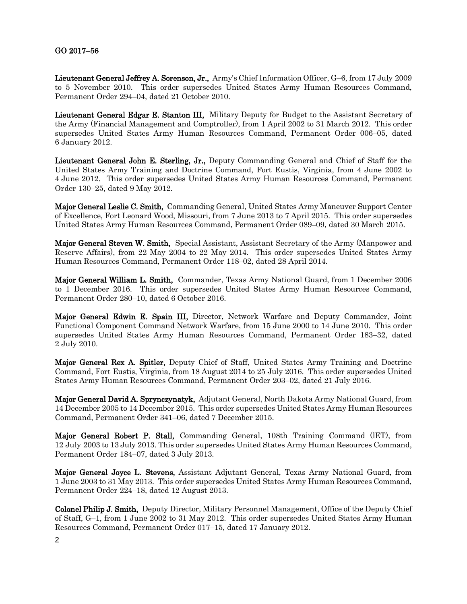## GO 2017–56

Lieutenant General Jeffrey A. Sorenson, Jr., Army's Chief Information Officer, G–6, from 17 July 2009 to 5 November 2010. This order supersedes United States Army Human Resources Command, Permanent Order 294–04, dated 21 October 2010.

Lieutenant General Edgar E. Stanton III, Military Deputy for Budget to the Assistant Secretary of the Army (Financial Management and Comptroller), from 1 April 2002 to 31 March 2012. This order supersedes United States Army Human Resources Command, Permanent Order 006–05, dated 6 January 2012.

Lieutenant General John E. Sterling, Jr., Deputy Commanding General and Chief of Staff for the United States Army Training and Doctrine Command, Fort Eustis, Virginia, from 4 June 2002 to 4 June 2012. This order supersedes United States Army Human Resources Command, Permanent Order 130–25, dated 9 May 2012.

Major General Leslie C. Smith, Commanding General, United States Army Maneuver Support Center of Excellence, Fort Leonard Wood, Missouri, from 7 June 2013 to 7 April 2015. This order supersedes United States Army Human Resources Command, Permanent Order 089–09, dated 30 March 2015.

Major General Steven W. Smith, Special Assistant, Assistant Secretary of the Army (Manpower and Reserve Affairs), from 22 May 2004 to 22 May 2014. This order supersedes United States Army Human Resources Command, Permanent Order 118–02, dated 28 April 2014.

Major General William L. Smith, Commander, Texas Army National Guard, from 1 December 2006 to 1 December 2016. This order supersedes United States Army Human Resources Command, Permanent Order 280–10, dated 6 October 2016.

Major General Edwin E. Spain III, Director, Network Warfare and Deputy Commander, Joint Functional Component Command Network Warfare, from 15 June 2000 to 14 June 2010. This order supersedes United States Army Human Resources Command, Permanent Order 183–32, dated 2 July 2010.

Major General Rex A. Spitler, Deputy Chief of Staff, United States Army Training and Doctrine Command, Fort Eustis, Virginia, from 18 August 2014 to 25 July 2016. This order supersedes United States Army Human Resources Command, Permanent Order 203–02, dated 21 July 2016.

Major General David A. Sprynczynatyk, Adjutant General, North Dakota Army National Guard, from 14 December 2005 to 14 December 2015. This order supersedes United States Army Human Resources Command, Permanent Order 341–06, dated 7 December 2015.

Major General Robert P. Stall, Commanding General, 108th Training Command (lET), from 12 July 2003 to 13 July 2013. This order supersedes United States Army Human Resources Command, Permanent Order 184–07, dated 3 July 2013.

Major General Joyce L. Stevens, Assistant Adjutant General, Texas Army National Guard, from 1 June 2003 to 31 May 2013. This order supersedes United States Army Human Resources Command, Permanent Order 224–18, dated 12 August 2013.

Colonel Philip J. Smith, Deputy Director, Military Personnel Management, Office of the Deputy Chief of Staff, G–1, from 1 June 2002 to 31 May 2012. This order supersedes United States Army Human Resources Command, Permanent Order 017–15, dated 17 January 2012.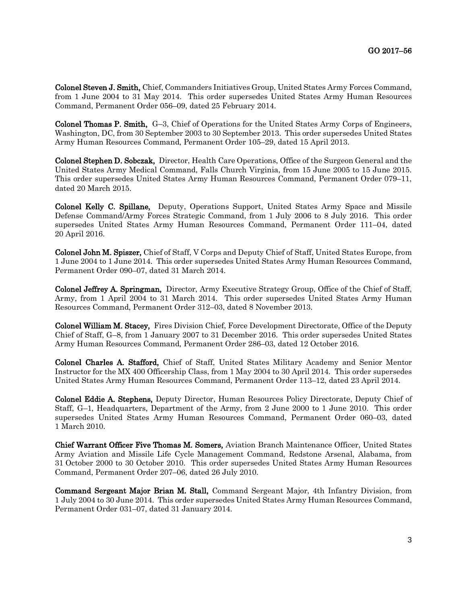Colonel Steven J. Smith, Chief, Commanders Initiatives Group, United States Army Forces Command, from 1 June 2004 to 31 May 2014. This order supersedes United States Army Human Resources Command, Permanent Order 056–09, dated 25 February 2014.

Colonel Thomas P. Smith, G–3, Chief of Operations for the United States Army Corps of Engineers, Washington, DC, from 30 September 2003 to 30 September 2013. This order supersedes United States Army Human Resources Command, Permanent Order 105–29, dated 15 April 2013.

Colonel Stephen D. Sobczak, Director, Health Care Operations, Office of the Surgeon General and the United States Army Medical Command, Falls Church Virginia, from 15 June 2005 to 15 June 2015. This order supersedes United States Army Human Resources Command, Permanent Order 079–11, dated 20 March 2015.

Colonel Kelly C. Spillane, Deputy, Operations Support, United States Army Space and Missile Defense Command/Army Forces Strategic Command, from 1 July 2006 to 8 July 2016. This order supersedes United States Army Human Resources Command, Permanent Order 111–04, dated 20 April 2016.

Colonel John M. Spiszer, Chief of Staff, V Corps and Deputy Chief of Staff, United States Europe, from 1 June 2004 to 1 June 2014. This order supersedes United States Army Human Resources Command, Permanent Order 090–07, dated 31 March 2014.

Colonel Jeffrey A. Springman, Director, Army Executive Strategy Group, Office of the Chief of Staff, Army, from 1 April 2004 to 31 March 2014. This order supersedes United States Army Human Resources Command, Permanent Order 312–03, dated 8 November 2013.

Colonel William M. Stacey, Fires Division Chief, Force Development Directorate, Office of the Deputy Chief of Staff, G–8, from 1 January 2007 to 31 December 2016. This order supersedes United States Army Human Resources Command, Permanent Order 286–03, dated 12 October 2016.

Colonel Charles A. Stafford, Chief of Staff, United States Military Academy and Senior Mentor Instructor for the MX 400 Officership Class, from 1 May 2004 to 30 April 2014. This order supersedes United States Army Human Resources Command, Permanent Order 113–12, dated 23 April 2014.

Colonel Eddie A. Stephens, Deputy Director, Human Resources Policy Directorate, Deputy Chief of Staff, G–1, Headquarters, Department of the Army, from 2 June 2000 to 1 June 2010. This order supersedes United States Army Human Resources Command, Permanent Order 060–03, dated 1 March 2010.

Chief Warrant Officer Five Thomas M. Somers, Aviation Branch Maintenance Officer, United States Army Aviation and Missile Life Cycle Management Command, Redstone Arsenal, Alabama, from 31 October 2000 to 30 October 2010. This order supersedes United States Army Human Resources Command, Permanent Order 207–06, dated 26 July 2010.

Command Sergeant Major Brian M. Stall, Command Sergeant Major, 4th Infantry Division, from 1 July 2004 to 30 June 2014. This order supersedes United States Army Human Resources Command, Permanent Order 031–07, dated 31 January 2014.